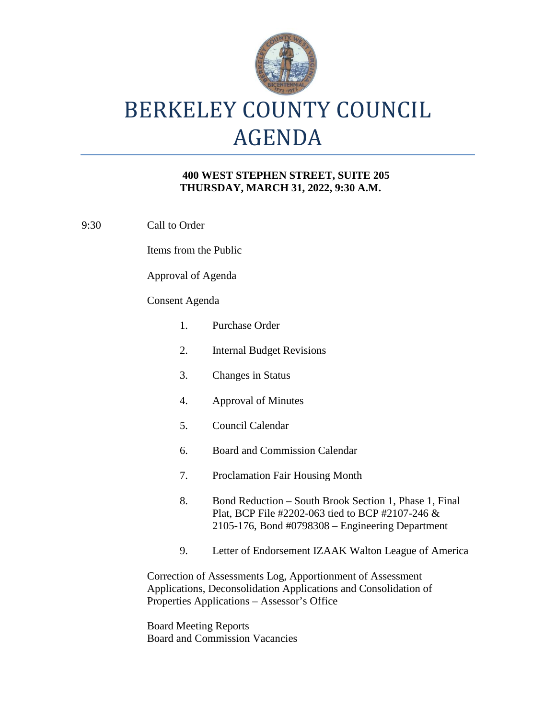

# BERKELEY COUNTY COUNCIL AGENDA

### **400 WEST STEPHEN STREET, SUITE 205 THURSDAY, MARCH 31, 2022, 9:30 A.M.**

9:30 Call to Order

Items from the Public

Approval of Agenda

#### Consent Agenda

| $\mathbf{1}$ .                                                                                                                                                               | Purchase Order                                                                                                                                                       |
|------------------------------------------------------------------------------------------------------------------------------------------------------------------------------|----------------------------------------------------------------------------------------------------------------------------------------------------------------------|
| 2.                                                                                                                                                                           | <b>Internal Budget Revisions</b>                                                                                                                                     |
| 3.                                                                                                                                                                           | <b>Changes in Status</b>                                                                                                                                             |
| 4.                                                                                                                                                                           | <b>Approval of Minutes</b>                                                                                                                                           |
| 5.                                                                                                                                                                           | Council Calendar                                                                                                                                                     |
| 6.                                                                                                                                                                           | <b>Board and Commission Calendar</b>                                                                                                                                 |
| 7.                                                                                                                                                                           | <b>Proclamation Fair Housing Month</b>                                                                                                                               |
| 8.                                                                                                                                                                           | Bond Reduction – South Brook Section 1, Phase 1, Final<br>Plat, BCP File #2202-063 tied to BCP #2107-246 $\&$<br>$2105-176$ , Bond #0798308 – Engineering Department |
| 9.                                                                                                                                                                           | Letter of Endorsement IZAAK Walton League of America                                                                                                                 |
| Correction of Assessments Log, Apportionment of Assessment<br>Applications, Deconsolidation Applications and Consolidation of<br>Properties Applications – Assessor's Office |                                                                                                                                                                      |

Board Meeting Reports Board and Commission Vacancies